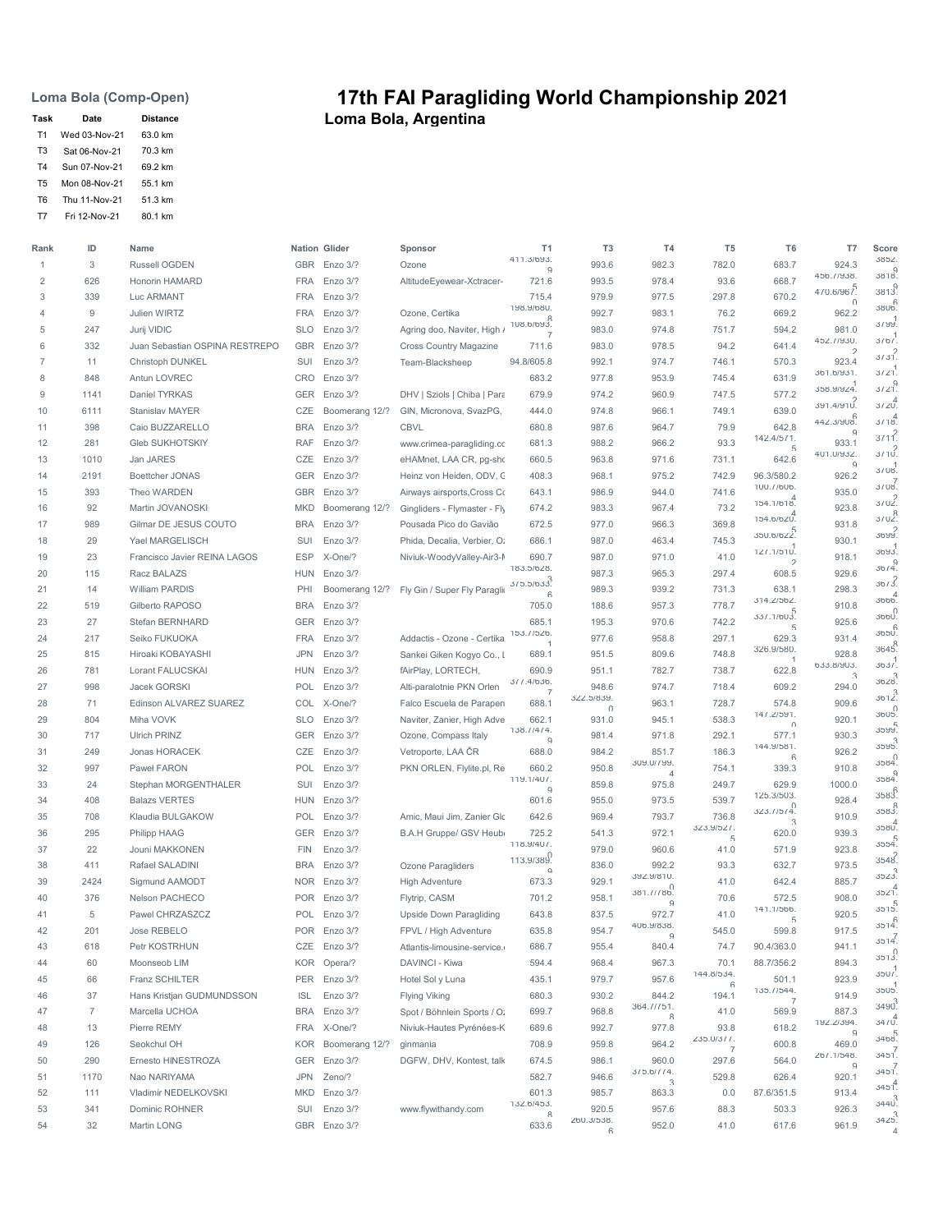Loma Bola (Comp-Open)

| Task           | Date          | <b>Distance</b> |
|----------------|---------------|-----------------|
| T1             | Wed 03-Nov-21 | 63.0 km         |
| T3             | Sat 06-Nov-21 | 70.3 km         |
| T <sub>4</sub> | Sun 07-Nov-21 | 69.2 km         |
| T5             | Mon 08-Nov-21 | 55 1 km         |
| T6             | Thu 11-Nov-21 | 51.3 km         |
| T7             | Fri 12-Nov-21 | 80.1 km         |

## 17th FAI Paragliding World Championship 2021 Task Date Distance **Loma Bola, Argentina**

| Rank           | ID             | Name                           |            | Nation Glider  | Sponsor                        | T1                           | T <sub>3</sub>      | T <sub>4</sub>         | T <sub>5</sub>     | T <sub>6</sub>           | T7                          | Score               |
|----------------|----------------|--------------------------------|------------|----------------|--------------------------------|------------------------------|---------------------|------------------------|--------------------|--------------------------|-----------------------------|---------------------|
| $\mathbf{1}$   | 3              | Russell OGDEN                  |            | GBR Enzo 3/?   | Ozone                          | 411.3/693.<br>q              | 993.6               | 982.3                  | 782.0              | 683.7                    | 924.3                       | 3852.<br>0<br>.8185 |
| $\overline{2}$ | 626            | Honorin HAMARD                 | <b>FRA</b> | Enzo 3/?       | AltitudeEyewear-Xctracer-      | 721.6                        | 993.5               | 978.4                  | 93.6               | 668.7                    | 456.77938.<br>470.6/967.    | 3813.               |
| 3              | 339            | Luc ARMANT                     | <b>FRA</b> | Enzo 3/?       |                                | 715.4                        | 979.9               | 977.5                  | 297.8              | 670.2                    | $\cap$                      | 3806.               |
| $\overline{4}$ | 9              | Julien WIRTZ                   | <b>FRA</b> | Enzo 3/?       | Ozone, Certika                 | 198.9/680.                   | 992.7               | 983.1                  | 76.2               | 669.2                    | 962.2                       |                     |
| 5              | 247            | Jurij VIDIC                    | <b>SLO</b> | Enzo 3/?       | Agring doo, Naviter, High /    | 108.6/693.<br>$\overline{7}$ | 983.0               | 974.8                  | 751.7              | 594.2                    | 981.0                       | 3/99.               |
| 6              | 332            | Juan Sebastian OSPINA RESTREPO |            | GBR Enzo 3/?   | Cross Country Magazine         | 711.6                        | 983.0               | 978.5                  | 94.2               | 641.4                    | 452.77930.<br>$\mathcal{D}$ | 3/67                |
| $\overline{7}$ | 11             | Christoph DUNKEL               | SUI        | Enzo 3/?       | Team-Blacksheep                | 94.8/605.8                   | 992.1               | 974.7                  | 746.1              | 570.3                    | 923.4                       | 3/31.               |
| 8              | 848            | Antun LOVREC                   | CRO        | Enzo 3/?       |                                | 683.2                        | 977.8               | 953.9                  | 745.4              | 631.9                    | 361.6/931.                  | 3/21                |
| 9              | 1141           | Daniel TYRKAS                  |            | GER Enzo 3/?   | DHV   Sziols   Chiba   Para    | 679.9                        | 974.2               | 960.9                  | 747.5              | 577.2                    | 358.9/924.                  | 3/21.               |
| 10             | 6111           | <b>Stanislav MAYER</b>         | CZE        | Boomerang 12/? | GIN, Micronova, SvazPG,        | 444.0                        | 974.8               | 966.1                  | 749.1              | 639.0                    | 391.4/91Ú.                  | $3/20^{4}$          |
| 11             | 398            | Caio BUZZARELLO                | <b>BRA</b> | Enzo 3/?       | <b>CBVL</b>                    | 680.8                        | 987.6               | 964.7                  | 79.9               | 642.8                    | 442.3/908.<br>Q             | $3/18^{4}$          |
| 12             | 281            | <b>Gleb SUKHOTSKIY</b>         | <b>RAF</b> | Enzo 3/?       | www.crimea-paragliding.cc      | 681.3                        | 988.2               | 966.2                  | 93.3               | 142.4/5/1.<br>$\sqrt{2}$ | 933.1                       | $3/11^{2}$          |
| 13             | 1010           | Jan JARES                      | CZE        | Enzo 3/?       | eHAMnet, LAA CR, pg-sho        | 660.5                        | 963.8               | 971.6                  | 731.1              | 642.6                    | 401.0/932.<br>$\Omega$      | $3/10^{2}$          |
| 14             | 2191           | Boettcher JONAS                | GER        | Enzo 3/?       | Heinz von Heiden, ODV, C       | 408.3                        | 968.1               | 975.2                  | 742.9              | 96.3/580.2               | 926.2                       | 3108                |
| 15             | 393            | Theo WARDEN                    | GBR        | Enzo 3/?       | Airways airsports, Cross Co    | 643.1                        | 986.9               | 944.0                  | 741.6              | 100.7/606.               | 935.0                       | 3108.               |
| 16             | 92             | Martin JOVANOSKI               | <b>MKD</b> | Boomerang 12/? | Gingliders - Flymaster - Fly   | 674.2                        | 983.3               | 967.4                  | 73.2               | 154.1/618.               | 923.8                       | 3702.               |
| 17             | 989            | Gilmar DE JESUS COUTO          | <b>BRA</b> | Enzo 3/?       | Pousada Pico do Gavião         | 672.5                        | 977.0               | 966.3                  | 369.8              | 154.6/620                | 931.8                       | $310^{8}$           |
| 18             | 29             | Yael MARGELISCH                | SUI        | Enzo 3/?       | Phida, Decalia, Verbier, O:    | 686.1                        | 987.0               | 463.4                  | 745.3              | 350.6/622.               | 930.1                       | م<br>.3699          |
| 19             | 23             | Francisco Javier REINA LAGOS   | <b>ESP</b> | X-One/?        | Niviuk-WoodyValley-Air3-I      | 690.7                        | 987.0               | 971.0                  | 41.0               | 127.1/510.<br>D          | 918.1                       | 3693.               |
| 20             | 115            | Racz BALAZS                    | <b>HUN</b> | Enzo 3/?       |                                | 183.5/628.                   | 987.3               | 965.3                  | 297.4              | 608.5                    | 929.6                       | 36/4.               |
| 21             | 14             | <b>William PARDIS</b>          | PHI        | Boomerang 12/? | Fly Gin / Super Fly Paragli    | 3/5.5/633.                   | 989.3               | 939.2                  | 731.3              | 638.1                    | 298.3                       | 36/3                |
| 22             | 519            | Gilberto RAPOSO                | <b>BRA</b> | Enzo 3/?       |                                | 6<br>705.0                   | 188.6               | 957.3                  | 778.7              | 314.2/562.               | 910.8                       | 3666 <sup>4</sup>   |
| 23             | 27             | Stefan BERNHARD                | <b>GER</b> | Enzo 3/?       |                                | 685.1                        | 195.3               | 970.6                  | 742.2              | 337.1/603.               | 925.6                       | 3660.               |
| 24             | 217            | Seiko FUKUOKA                  | <b>FRA</b> | Enzo 3/?       | Addactis - Ozone - Certika     | 153.7/526.                   | 977.6               | 958.8                  | 297.1              | $\sqrt{2}$<br>629.3      | 931.4                       | 3650                |
| 25             | 815            | Hiroaki KOBAYASHI              | <b>JPN</b> | Enzo 3/?       | Sankei Giken Kogyo Co., I      | $\overline{1}$<br>689.1      | 951.5               | 809.6                  | 748.8              | 326.9/580.               | 928.8                       | 3645.               |
| 26             | 781            | Lorant FALUCSKAI               | <b>HUN</b> | Enzo 3/?       | fAirPlay, LORTECH,             | 690.9                        | 951.1               | 782.7                  | 738.7              | $\overline{1}$<br>622.8  | 633.8/903.                  | 363/                |
| 27             | 998            | Jacek GORSKI                   | POL        | Enzo 3/?       | Alti-paralotnie PKN Orlen      | 311.4/636.                   | 948.6               | 974.7                  | 718.4              | 609.2                    | 3<br>294.0                  | 3628.               |
| 28             | 71             | Edinson ALVAREZ SUAREZ         |            | COL X-One/?    | Falco Escuela de Parapen       | -7<br>688.1                  | 322.5/839.          | 963.1                  | 728.7              | 574.8                    | 909.6                       | $3612^3$            |
| 29             | 804            | Miha VOVK                      | <b>SLO</b> | Enzo 3/?       | Naviter, Zanier, High Adve     | 662.1                        | $\cap$<br>931.0     | 945.1                  | 538.3              | 14/.2/591.               | 920.1                       | 3605.               |
| 30             | 717            | <b>Ulrich PRINZ</b>            | GER        | Enzo 3/?       | Ozone, Compass Italy           | 138.//4/4.                   | 981.4               | 971.8                  | 292.1              | $\cap$<br>577.1          | 930.3                       | 3599.               |
| 31             | 249            | Jonas HORACEK                  | CZE        | Enzo 3/?       | Vetroporte, LAA ČR             | Q<br>688.0                   | 984.2               | 851.7                  | 186.3              | 144.9/581.               | 926.2                       | 3595.               |
| 32             | 997            | Paweł FARON                    | POL        | Enzo 3/?       | PKN ORLEN, Flylite.pl, Re      | 660.2                        | 950.8               | 309.0/799.             | 754.1              | $\kappa$<br>339.3        | 910.8                       | 3584.               |
| 33             | 24             | Stephan MORGENTHALER           | SUI        | Enzo 3/?       |                                | $119.1/40/$ .                | 859.8               | $\Delta$<br>975.8      | 249.7              | 629.9                    | 1000.0                      | 3584.               |
| 34             | 408            | <b>Balazs VERTES</b>           | <b>HUN</b> | Enzo 3/?       |                                | g<br>601.6                   | 955.0               | 973.5                  | 539.7              | 125.3/503.               | 928.4                       | 3583.               |
| 35             | 708            | Klaudia BULGAKOW               | POL        | Enzo 3/?       | Amic, Maui Jim, Zanier Glo     | 642.6                        | 969.4               | 793.7                  | 736.8              | 323.11514                | 910.9                       | 3583.               |
| 36             | 295            | Philipp HAAG                   |            | GER Enzo 3/?   | B.A.H Gruppe/ GSV Heub         | 725.2                        | 541.3               | 972.1                  | 323.9/527.         | 3<br>620.0               | 939.3                       | $3580^{4}$          |
| 37             | 22             | Jouni MAKKONEN                 | <b>FIN</b> | Enzo 3/?       |                                | 118.9/407.                   | 979.0               | 960.6                  | $\sqrt{n}$<br>41.0 | 571.9                    | 923.8                       | 3554                |
| 38             | 411            | Rafael SALADINI                | <b>BRA</b> | Enzo 3/?       | Ozone Paragliders              | 113.9/389.                   | 836.0               | 992.2                  | 93.3               | 632.7                    | 973.5                       | 2<br>3548.          |
| 39             | 2424           | Sigmund AAMODT                 |            | NOR Enzo 3/?   | <b>High Adventure</b>          | $\Omega$<br>673.3            | 929.1               | 392.9/810.             | 41.0               | 642.4                    | 885.7                       | 3523                |
| 40             | 376            | Nelson PACHECO                 |            | POR Enzo 3/?   | Flytrip, CASM                  | 701.2                        | 958.1               | 381.///86.             | 70.6               | 572.5                    | 908.0                       | $3521^{4}$          |
| 41             | 5              | Pawel CHRZASZCZ                | <b>POL</b> | Enzo 3/?       | <b>Upside Down Paragliding</b> | 643.8                        | 837.5               | $\Omega$<br>972.7      | 41.0               | 141.1/566.               | 920.5                       | 3515                |
| 42             | 201            | Jose REBELO                    |            | POR Enzo 3/?   | FPVL / High Adventure          | 635.8                        | 954.7               | 406.9/838.             | 545.0              | $\sqrt{2}$<br>599.8      | 917.5                       | 3514.               |
| 43             | 618            | Petr KOSTRHUN                  |            | CZE Enzo 3/?   | Atlantis-limousine-service.    | 686.7                        | 955.4               | $\Omega$<br>840.4      | 74.7               | 90.4/363.0               | 941.1                       | 3514                |
| 44             | 60             | Moonseob LIM                   |            | KOR Opera/?    | DAVINCI - Kiwa                 | 594.4                        | 968.4               | 967.3                  | 70.1               | 88.7/356.2               | 894.3                       | 3513.               |
| 45             | 66             | Franz SCHILTER                 | PER        | Enzo 3/?       | Hotel Sol y Luna               | 435.1                        | 979.7               | 957.6                  | 144.8/534.         | 501.1                    | 923.9                       | $350/$ .            |
| 46             | 37             | Hans Kristjan GUDMUNDSSON      | <b>ISL</b> | Enzo 3/?       |                                | 680.3                        | 930.2               | 844.2                  | ĥ<br>194.1         | 135.//544.               | 914.9                       | 3505.               |
|                | $\overline{7}$ | Marcella UCHOA                 |            |                | Flying Viking                  |                              | 968.8               | 364.7/751.             |                    | -7                       | 887.3                       | $3490^{3}$          |
| 47             |                | Pierre REMY                    | BRA        | Enzo 3/?       | Spot / Böhnlein Sports / O:    | 699.7                        |                     | R                      | 41.0               | 569.9                    | 192.2/394.                  | $34/0^4$            |
| 48             | 13             |                                |            | FRA X-One/?    | Niviuk-Hautes Pyrénées-K       | 689.6                        | 992.7               | 977.8                  | 93.8<br>235.0/311. | 618.2                    | g                           | 3468                |
| 49             | 126            | Seokchul OH                    | KOR        | Boomerang 12/? | ginmania                       | 708.9                        | 959.8               | 964.2                  | $\overline{7}$     | 600.8                    | 469.0<br>267.1/548.         | 3451                |
| 50             | 290            | Ernesto HINESTROZA             | GER        | Enzo 3/?       | DGFW, DHV, Kontest, talk       | 674.5                        | 986.1               | 960.0<br>$3/5.6$ ///4. | 297.6              | 564.0                    | Q                           | 3451                |
| 51             | 1170           | Nao NARIYAMA                   | JPN        | Zeno/?         |                                | 582.7                        | 946.6               | 3                      | 529.8              | 626.4                    | 920.1                       | 3451.               |
| 52             | 111            | Vladimir NEDELKOVSKI           | MKD        | Enzo 3/?       |                                | 601.3<br>132.6/453.          | 985.7               | 863.3                  | 0.0                | 87.6/351.5               | 913.4                       | $3440^{3}$          |
| 53             | 341            | Dominic ROHNER                 | SUI        | Enzo 3/?       | www.flywithandy.com            | R                            | 920.5<br>260.3/538. | 957.6                  | 88.3               | 503.3                    | 926.3                       | 3425                |
| 54             | 32             | Martin LONG                    |            | GBR Enzo 3/?   |                                | 633.6                        | 6                   | 952.0                  | 41.0               | 617.6                    | 961.9                       | $\Delta$            |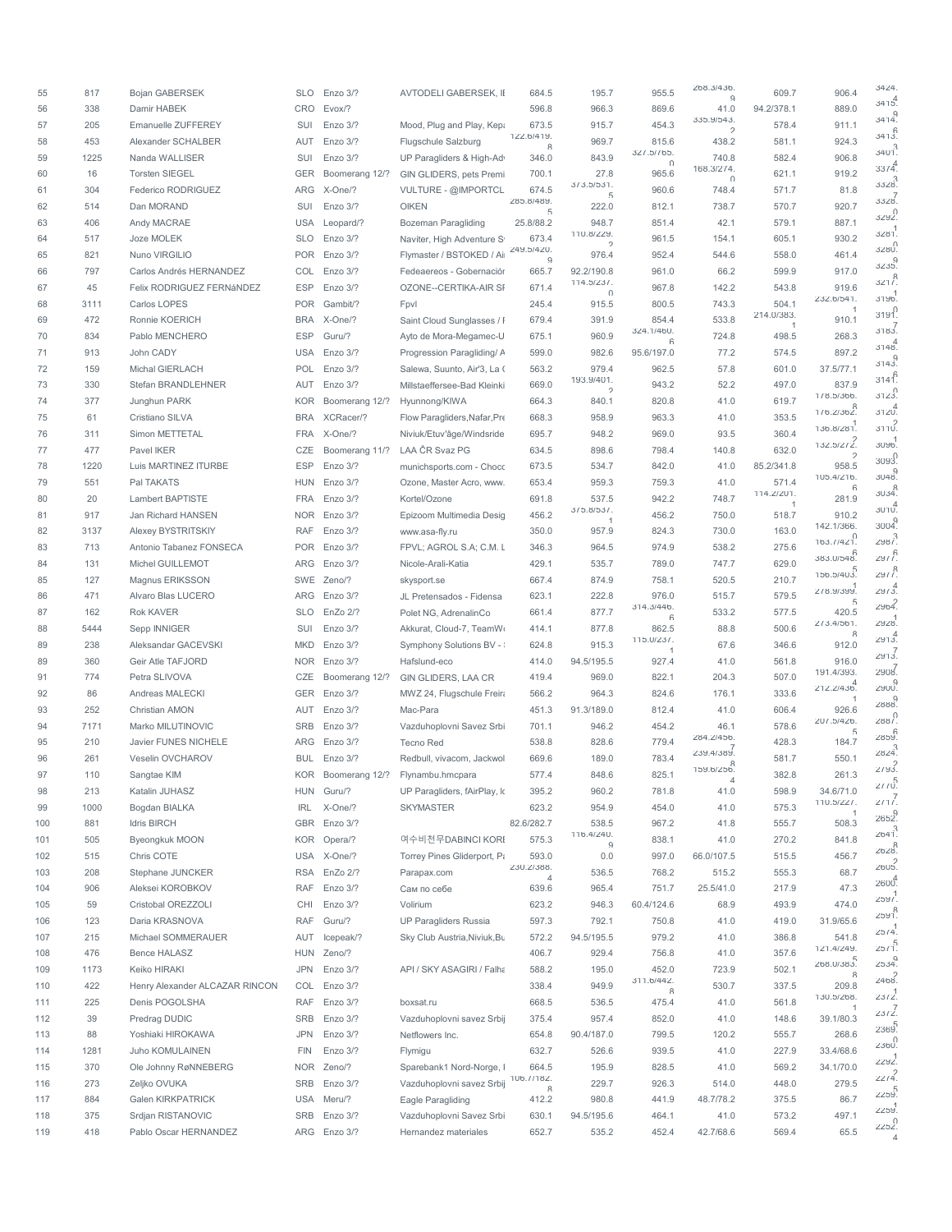| 55  | 817  | <b>Bojan GABERSEK</b>                | <b>SLO</b> | Enzo 3/?             | <b>AVTODELI GABERSEK, II</b> | 684.5                   | 195.7                      | 955.5               | 268.3/436.<br>$\Omega$      | 609.7                        | 906.4                       | 3424              |
|-----|------|--------------------------------------|------------|----------------------|------------------------------|-------------------------|----------------------------|---------------------|-----------------------------|------------------------------|-----------------------------|-------------------|
| 56  | 338  | Damir HABEK                          | CRO        | Evox/?               |                              | 596.8                   | 966.3                      | 869.6               | 41.0                        | 94.2/378.1                   | 889.0                       | 3415.             |
| 57  | 205  | Emanuelle ZUFFEREY                   | SUI        | Enzo 3/?             | Mood, Plug and Play, Kepa    | 673.5                   | 915.7                      | 454.3               | 335.9/543.<br>$\mathcal{D}$ | 578.4                        | 911.1                       | 3414.             |
| 58  | 453  | Alexander SCHALBER                   | AUT        | Enzo 3/?             | Flugschule Salzburg          | 122.6/419.              | 969.7                      | 815.6               | 438.2                       | 581.1                        | 924.3                       | 3413.             |
| 59  | 1225 | Nanda WALLISER                       | SUI        | Enzo 3/?             | UP Paragliders & High-Ad     | R<br>346.0              | 843.9                      | 327.5/765.          | 740.8                       | 582.4                        | 906.8                       | $3401^{3}$        |
| 60  | 16   | <b>Torsten SIEGEL</b>                | GER        | Boomerang 12/?       | GIN GLIDERS, pets Premi      | 700.1                   | 27.8                       | U<br>965.6          | 168.3/2/4.                  | 621.1                        | 919.2                       | 33/4              |
| 61  | 304  | Federico RODRIGUEZ                   | ARG        | X-One/?              | VULTURE - @IMPORTCL          | 674.5                   | 3/3.5/531.                 | 960.6               | $\cap$<br>748.4             | 571.7                        | 81.8                        | $3328^3$          |
| 62  | 514  | Dan MORAND                           | SUI        | Enzo 3/?             | <b>OIKEN</b>                 | 285.8/489.              | $\sqrt{2}$<br>222.0        | 812.1               | 738.7                       | 570.7                        | 920.7                       | 7<br>.3328        |
| 63  | 406  | Andy MACRAE                          | <b>USA</b> | Leopard/?            | Bozeman Paragliding          | $\sqrt{2}$<br>25.8/88.2 | 948.7                      | 851.4               | 42.1                        | 579.1                        | 887.1                       | 3292.             |
| 64  | 517  | Joze MOLEK                           | <b>SLO</b> | Enzo 3/?             | Naviter, High Adventure S    | 673.4                   | 110.8/229.                 | 961.5               | 154.1                       | 605.1                        | 930.2                       | 3281              |
| 65  | 821  | Nuno VIRGILIO                        |            | POR Enzo 3/?         | Flymaster / BSTOKED / Ai     | 249.5/420.              | $\mathcal{D}$<br>976.4     | 952.4               | 544.6                       | 558.0                        | 461.4                       | 3280              |
| 66  | 797  | Carlos Andrés HERNANDEZ              | COL        | Enzo 3/?             | Fedeaereos - Gobernación     | $\mathbf{Q}$<br>665.7   | 92.2/190.8                 | 961.0               | 66.2                        | 599.9                        | 917.0                       | 3235.             |
|     |      | Felix RODRIGUEZ FERNÁNDEZ            |            |                      | <b>OZONE--CERTIKA-AIR SI</b> |                         | $114.5/23/$ .              |                     |                             |                              | 919.6                       | 321 <sup>8</sup>  |
| 67  | 45   |                                      | <b>ESP</b> | Enzo 3/?             |                              | 671.4                   | $\cap$                     | 967.8               | 142.2                       | 543.8                        | 232.6/541.                  | 3196              |
| 68  | 3111 | Carlos LOPES                         | <b>POR</b> | Gambit/?             | Fpvl                         | 245.4                   | 915.5                      | 800.5               | 743.3                       | 504.1<br>214.0/383.          |                             | 3191              |
| 69  | 472  | Ronnie KOERICH                       | <b>BRA</b> | X-One/?              | Saint Cloud Sunglasses / I   | 679.4                   | 391.9                      | 854.4<br>324.1/460. | 533.8                       | $\overline{1}$               | 910.1                       | 3183              |
| 70  | 834  | Pablo MENCHERO                       | <b>ESP</b> | Guru/?               | Ayto de Mora-Megamec-U       | 675.1                   | 960.9                      | ĥ                   | 724.8                       | 498.5                        | 268.3                       | 3148.             |
| 71  | 913  | John CADY                            | <b>USA</b> | Enzo 3/?             | Progression Paragliding/ A   | 599.0                   | 982.6                      | 95.6/197.0          | 77.2                        | 574.5                        | 897.2                       | 3143.             |
| 72  | 159  | Michal GIERLACH                      | POL        | Enzo 3/?             | Salewa, Suunto, Air'3, La (  | 563.2                   | 979.4<br>193.9/401.        | 962.5               | 57.8                        | 601.0                        | 37.5/77.1                   | $3140^{6}$        |
| 73  | 330  | Stefan BRANDLEHNER                   | AUT        | Enzo 3/?             | Millstaeffersee-Bad Kleinki  | 669.0                   | $\mathcal{D}$              | 943.2               | 52.2                        | 497.0                        | 837.9<br>1/8.5/366.         | 3123.             |
| 74  | 377  | Junghun PARK                         | KOR        | Boomerang 12/?       | Hyunnong/KIWA                | 664.3                   | 840.1                      | 820.8               | 41.0                        | 619.7                        | 1/6.2/362.                  | $3120^{4}$        |
| 75  | 61   | Cristiano SILVA                      | <b>BRA</b> | XCRacer/?            | Flow Paragliders, Nafar, Pre | 668.3                   | 958.9                      | 963.3               | 41.0                        | 353.5                        |                             | 3110.             |
| 76  | 311  | Simon METTETAL                       | <b>FRA</b> | X-One/?              | Niviuk/Etuv'âge/Windsride    | 695.7                   | 948.2                      | 969.0               | 93.5                        | 360.4                        | 136.8/281                   | 3096.             |
| 77  | 477  | Pavel IKER                           | CZE        | Boomerang 11/?       | LAA ČR Svaz PG               | 634.5                   | 898.6                      | 798.4               | 140.8                       | 632.0                        | 132.5/2/2.<br>$\mathcal{D}$ |                   |
| 78  | 1220 | Luis MARTINEZ ITURBE                 | <b>ESP</b> | Enzo 3/?             | munichsports.com - Choco     | 673.5                   | 534.7                      | 842.0               | 41.0                        | 85.2/341.8                   | 958.5                       | 3093.             |
| 79  | 551  | Pal TAKATS                           | <b>HUN</b> | Enzo 3/?             | Ozone, Master Acro, www.     | 653.4                   | 959.3                      | 759.3               | 41.0                        | 571.4                        | 105.4/216.<br>$\kappa$      | 3048.             |
| 80  | 20   | Lambert BAPTISTE                     | <b>FRA</b> | Enzo 3/?             | Kortel/Ozone                 | 691.8                   | 537.5                      | 942.2               | 748.7                       | 114.2/201.<br>$\overline{1}$ | 281.9                       | 3034.             |
| 81  | 917  | Jan Richard HANSEN                   |            | NOR Enzo 3/?         | Epizoom Multimedia Desig     | 456.2                   | $3/5.8/53/$ .              | 456.2               | 750.0                       | 518.7                        | 910.2                       | $3010^{4}$        |
| 82  | 3137 | Alexey BYSTRITSKIY                   | <b>RAF</b> | Enzo 3/?             | www.asa-fly.ru               | 350.0                   | 957.9                      | 824.3               | 730.0                       | 163.0                        | 142.1/366.                  | 3004.             |
| 83  | 713  | Antonio Tabanez FONSECA              | POR        | Enzo 3/?             | FPVL; AGROL S.A; C.M. L      | 346.3                   | 964.5                      | 974.9               | 538.2                       | 275.6                        | 163.7/421.                  | $2987^3$          |
| 84  | 131  | Michel GUILLEMOT                     | ARG        | Enzo 3/?             | Nicole-Arali-Katia           | 429.1                   | 535.7                      | 789.0               | 747.7                       | 629.0                        | 383.0/548.                  | 2977              |
| 85  | 127  | Magnus ERIKSSON                      |            | SWE Zeno/?           | skysport.se                  | 667.4                   | 874.9                      | 758.1               | 520.5                       | 210.7                        | 156.5/403                   | $29/l^8$          |
| 86  | 471  | Alvaro Blas LUCERO                   |            | ARG Enzo 3/?         | JL Pretensados - Fidensa     | 623.1                   | 222.8                      | 976.0               | 515.7                       | 579.5                        | 518.9/399                   | 29/3              |
| 87  | 162  | Rok KAVER                            | <b>SLO</b> | EnZo 2/?             | Polet NG, AdrenalinCo        | 661.4                   | 877.7                      | 314.3/446.          | 533.2                       | 577.5                        | 420.5                       | 2964.             |
| 88  | 5444 | Sepp INNIGER                         | SUI        | Enzo 3/?             | Akkurat, Cloud-7, TeamW      | 414.1                   | 877.8                      | $\kappa$<br>862.5   | 88.8                        | 500.6                        | 2/3.4/561.                  | 2928.             |
| 89  | 238  | Aleksandar GACEVSKI                  | MKD        | Enzo 3/?             | Symphony Solutions BV -      | 624.8                   | 915.3                      | 115.0 / 23 / .      | 67.6                        | 346.6                        | $\mathcal{R}$<br>912.0      | 2913.             |
| 89  | 360  | Geir Atle TAFJORD                    | <b>NOR</b> | Enzo 3/?             |                              | 414.0                   | 94.5/195.5                 | 927.4               | 41.0                        | 561.8                        | 916.0                       | 2913              |
|     |      |                                      |            |                      | Hafslund-eco                 |                         |                            |                     |                             |                              | 191.4/393.                  | 2908              |
| 91  | 774  | Petra SLIVOVA                        | CZE        | Boomerang 12/?       | GIN GLIDERS, LAA CR          | 419.4                   | 969.0                      | 822.1               | 204.3                       | 507.0                        | 212.2/436.                  | p<br>2900.        |
| 92  | 86   | Andreas MALECKI                      |            | GER Enzo 3/?         | MWZ 24, Flugschule Freira    | 566.2                   | 964.3                      | 824.6               | 176.1                       | 333.6                        | $\overline{1}$              | 0<br>.2888        |
| 93  | 252  | Christian AMON                       |            | AUT Enzo 3/?         | Mac-Para                     | 451.3                   | 91.3/189.0                 | 812.4               | 41.0                        | 606.4                        | 926.6<br>207.5/426.         | 2887.             |
| 94  | 7171 | Marko MILUTINOVIC                    | <b>SRB</b> | Enzo 3/?             | Vazduhoplovni Savez Srbi     | 701.1                   | 946.2                      | 454.2               | 46.1<br>284.2/456.          | 578.6                        | 5                           | 2859.             |
| 95  | 210  | Javier FUNES NICHELE                 | ARG        | Enzo 3/?             | <b>Tecno Red</b>             | 538.8                   | 828.6                      | 779.4               | 239.4/389.                  | 428.3                        | 184.7                       | 2824              |
| 96  | 261  | Veselin OVCHAROV                     | BUL        | Enzo 3/?             | Redbull, vivacom, Jackwol    | 669.6                   | 189.0                      | 783.4               | 159.6/256.                  | 581.7                        | 550.1                       | 2193.             |
| 97  | 110  | Sangtae KIM                          | KOR        | Boomerang 12/?       | Flynambu.hmcpara             | 577.4                   | 848.6                      | 825.1               |                             | 382.8                        | 261.3                       | 21/0              |
| 98  | 213  | Katalin JUHASZ                       | HUN        | Guru/?               | UP Paragliders, fAirPlay, k  | 395.2                   | 960.2                      | 781.8               | 41.0                        | 598.9                        | 34.6/71.0                   | 211'              |
| 99  | 1000 | Bogdan BIALKA                        | <b>IRL</b> | X-One/?              | <b>SKYMASTER</b>             | 623.2                   | 954.9                      | 454.0               | 41.0                        | 575.3                        | 110.5/227.                  | a<br>.2652        |
| 100 | 881  | <b>Idris BIRCH</b>                   | GBR        | Enzo 3/?             |                              | 82.6/282.7              | 538.5                      | 967.2               | 41.8                        | 555.7                        | 508.3                       | 2641              |
| 101 | 505  | Byeongkuk MOON                       | KOR        | Opera/?              | 여수비천무DABINCI KORI            | 575.3                   | 116.4/240.<br>$\mathbf{Q}$ | 838.1               | 41.0                        | 270.2                        | 841.8                       | 8<br>.2628        |
| 102 | 515  | Chris COTE                           | USA        | X-One/?              | Torrey Pines Gliderport, Pa  | 593.0                   | 0.0                        | 997.0               | 66.0/107.5                  | 515.5                        | 456.7                       | 2605              |
| 103 | 208  | Stephane JUNCKER                     | <b>RSA</b> | EnZo 2/?             | Parapax.com                  | 230.2/388.<br>4         | 536.5                      | 768.2               | 515.2                       | 555.3                        | 68.7                        |                   |
| 104 | 906  | Aleksei KOROBKOV                     | <b>RAF</b> | Enzo 3/?             | Сам по себе                  | 639.6                   | 965.4                      | 751.7               | 25.5/41.0                   | 217.9                        | 47.3                        | 2600 <sup>4</sup> |
| 105 | 59   | Cristobal OREZZOLI                   | CHI        | Enzo 3/?             | Volirium                     | 623.2                   | 946.3                      | 60.4/124.6          | 68.9                        | 493.9                        | 474.0                       | 2597              |
| 106 | 123  | Daria KRASNOVA                       | <b>RAF</b> | Guru/?               | <b>UP Paragliders Russia</b> | 597.3                   | 792.1                      | 750.8               | 41.0                        | 419.0                        | 31.9/65.6                   | 2591.             |
| 107 | 215  | Michael SOMMERAUER                   | AUT        | Icepeak/?            | Sky Club Austria, Niviuk, Bu | 572.2                   | 94.5/195.5                 | 979.2               | 41.0                        | 386.8                        | 541.8                       | 25/4              |
| 108 | 476  | Bence HALASZ                         | HUN        | Zeno/?               |                              | 406.7                   | 929.4                      | 756.8               | 41.0                        | 357.6                        | 121.4/249.                  | 25/1.5            |
| 109 | 1173 | Keiko HIRAKI                         | <b>JPN</b> | Enzo 3/?             | API / SKY ASAGIRI / Falha    | 588.2                   | 195.0                      | 452.0               | 723.9                       | 502.1                        | 268.0/383                   | 2534.             |
| 110 | 422  | Henry Alexander ALCAZAR RINCON       | COL        | Enzo 3/?             |                              | 338.4                   | 949.9                      | 311.6/442.          | 530.7                       | 337.5                        | 8<br>209.8                  | 2468              |
| 111 | 225  | Denis POGOLSHA                       | RAF        | Enzo 3/?             | boxsat.ru                    | 668.5                   | 536.5                      | R<br>475.4          | 41.0                        | 561.8                        | 130.5/268.                  | 23/2              |
| 112 | 39   | Predrag DUDIC                        | SRB        | Enzo 3/?             | Vazduhoplovni savez Srbij    | 375.4                   | 957.4                      | 852.0               | 41.0                        | 148.6                        | 39.1/80.3                   | 23/2              |
|     |      |                                      | <b>JPN</b> |                      |                              |                         | 90.4/187.0                 |                     |                             |                              | 268.6                       | 2369.             |
| 113 | 88   | Yoshiaki HIROKAWA<br>Juho KOMULAINEN | FIN        | Enzo 3/?<br>Enzo 3/? | Netflowers Inc.              | 654.8                   |                            | 799.5               | 120.2                       | 555.7                        |                             | $\cap$<br>2360    |
| 114 | 1281 |                                      |            |                      | Flymigu                      | 632.7                   | 526.6                      | 939.5               | 41.0                        | 227.9                        | 33.4/68.6<br>34.1/70.0      | 2292              |
| 115 | 370  | Ole Johnny RøNNEBERG                 |            | NOR Zeno/?           | Sparebank1 Nord-Norge, I     | 664.5<br>106.77182.     | 195.9                      | 828.5               | 41.0                        | 569.2                        |                             | 22/4              |
| 116 | 273  | Zeljko OVUKA                         | SRB        | Enzo 3/?             | Vazduhoplovni savez Srbij    | R                       | 229.7                      | 926.3               | 514.0                       | 448.0                        | 279.5                       | 2259              |
| 117 | 884  | Galen KIRKPATRICK                    | <b>USA</b> | Meru/?               | Eagle Paragliding            | 412.2                   | 980.8                      | 441.9               | 48.7/78.2                   | 375.5                        | 86.7                        | 2259.             |
| 118 | 375  | Srdjan RISTANOVIC                    | SRB        | Enzo 3/?             | Vazduhoplovni Savez Srbi     | 630.1                   | 94.5/195.6                 | 464.1               | 41.0                        | 573.2                        | 497.1                       | 2252              |
| 119 | 418  | Pablo Oscar HERNANDEZ                |            | ARG Enzo 3/?         | Hernandez materiales         | 652.7                   | 535.2                      | 452.4               | 42.7/68.6                   | 569.4                        | 65.5                        | $\overline{a}$    |